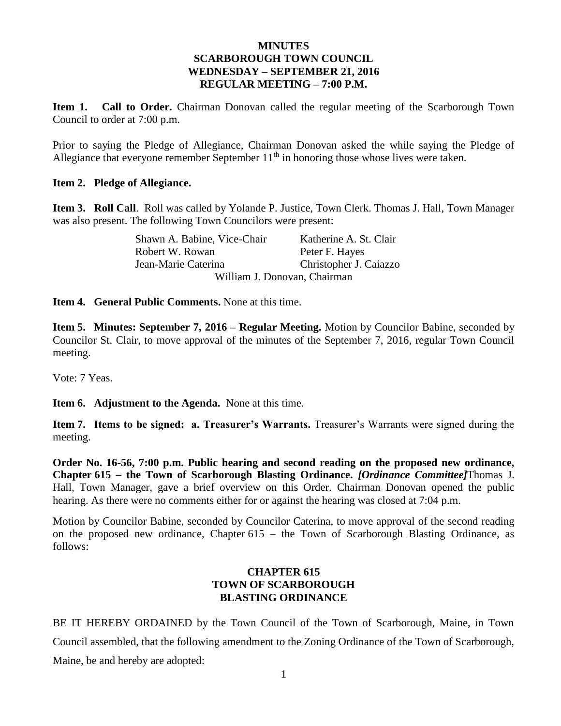### **MINUTES SCARBOROUGH TOWN COUNCIL WEDNESDAY – SEPTEMBER 21, 2016 REGULAR MEETING – 7:00 P.M.**

**Item 1. Call to Order.** Chairman Donovan called the regular meeting of the Scarborough Town Council to order at 7:00 p.m.

Prior to saying the Pledge of Allegiance, Chairman Donovan asked the while saying the Pledge of Allegiance that everyone remember September  $11<sup>th</sup>$  in honoring those whose lives were taken.

### **Item 2. Pledge of Allegiance.**

**Item 3. Roll Call**. Roll was called by Yolande P. Justice, Town Clerk. Thomas J. Hall, Town Manager was also present. The following Town Councilors were present:

> Shawn A. Babine, Vice-Chair Katherine A. St. Clair Robert W. Rowan Peter F. Hayes Jean-Marie Caterina Christopher J. Caiazzo William J. Donovan, Chairman

**Item 4. General Public Comments.** None at this time.

**Item 5. Minutes: September 7, 2016 – Regular Meeting.** Motion by Councilor Babine, seconded by Councilor St. Clair, to move approval of the minutes of the September 7, 2016, regular Town Council meeting.

Vote: 7 Yeas.

**Item 6. Adjustment to the Agenda.** None at this time.

**Item 7. Items to be signed: a. Treasurer's Warrants.** Treasurer's Warrants were signed during the meeting.

**Order No. 16-56, 7:00 p.m. Public hearing and second reading on the proposed new ordinance, Chapter 615 – the Town of Scarborough Blasting Ordinance.** *[Ordinance Committee]*Thomas J. Hall, Town Manager, gave a brief overview on this Order. Chairman Donovan opened the public hearing. As there were no comments either for or against the hearing was closed at 7:04 p.m.

Motion by Councilor Babine, seconded by Councilor Caterina, to move approval of the second reading on the proposed new ordinance, Chapter 615 – the Town of Scarborough Blasting Ordinance, as follows:

## **CHAPTER 615 TOWN OF SCARBOROUGH BLASTING ORDINANCE**

BE IT HEREBY ORDAINED by the Town Council of the Town of Scarborough, Maine, in Town Council assembled, that the following amendment to the Zoning Ordinance of the Town of Scarborough, Maine, be and hereby are adopted: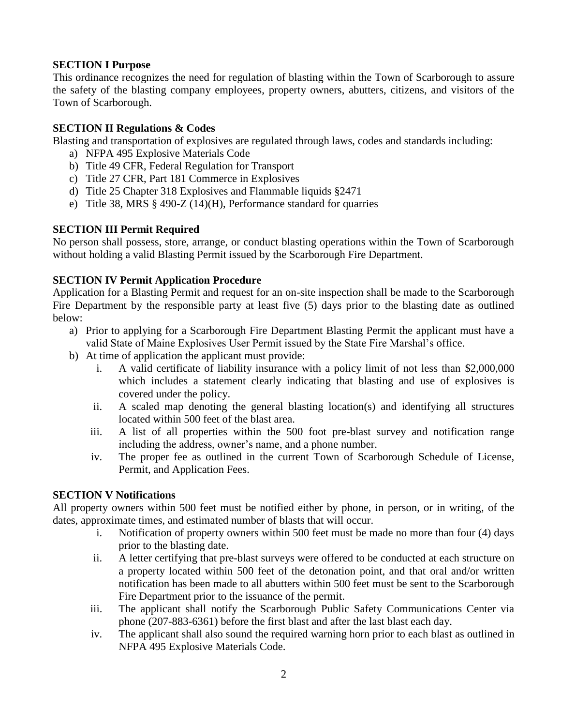## **SECTION I Purpose**

This ordinance recognizes the need for regulation of blasting within the Town of Scarborough to assure the safety of the blasting company employees, property owners, abutters, citizens, and visitors of the Town of Scarborough.

### **SECTION II Regulations & Codes**

Blasting and transportation of explosives are regulated through laws, codes and standards including:

- a) NFPA 495 Explosive Materials Code
- b) Title 49 CFR, Federal Regulation for Transport
- c) Title 27 CFR, Part 181 Commerce in Explosives
- d) Title 25 Chapter 318 Explosives and Flammable liquids §2471
- e) Title 38, MRS § 490-Z (14)(H), Performance standard for quarries

### **SECTION III Permit Required**

No person shall possess, store, arrange, or conduct blasting operations within the Town of Scarborough without holding a valid Blasting Permit issued by the Scarborough Fire Department.

## **SECTION IV Permit Application Procedure**

Application for a Blasting Permit and request for an on-site inspection shall be made to the Scarborough Fire Department by the responsible party at least five (5) days prior to the blasting date as outlined below:

- a) Prior to applying for a Scarborough Fire Department Blasting Permit the applicant must have a valid State of Maine Explosives User Permit issued by the State Fire Marshal's office.
- b) At time of application the applicant must provide:
	- i. A valid certificate of liability insurance with a policy limit of not less than \$2,000,000 which includes a statement clearly indicating that blasting and use of explosives is covered under the policy.
	- ii. A scaled map denoting the general blasting location(s) and identifying all structures located within 500 feet of the blast area.
	- iii. A list of all properties within the 500 foot pre-blast survey and notification range including the address, owner's name, and a phone number.
	- iv. The proper fee as outlined in the current Town of Scarborough Schedule of License, Permit, and Application Fees.

### **SECTION V Notifications**

All property owners within 500 feet must be notified either by phone, in person, or in writing, of the dates, approximate times, and estimated number of blasts that will occur.

- i. Notification of property owners within 500 feet must be made no more than four (4) days prior to the blasting date.
- ii. A letter certifying that pre-blast surveys were offered to be conducted at each structure on a property located within 500 feet of the detonation point, and that oral and/or written notification has been made to all abutters within 500 feet must be sent to the Scarborough Fire Department prior to the issuance of the permit.
- iii. The applicant shall notify the Scarborough Public Safety Communications Center via phone (207-883-6361) before the first blast and after the last blast each day.
- iv. The applicant shall also sound the required warning horn prior to each blast as outlined in NFPA 495 Explosive Materials Code.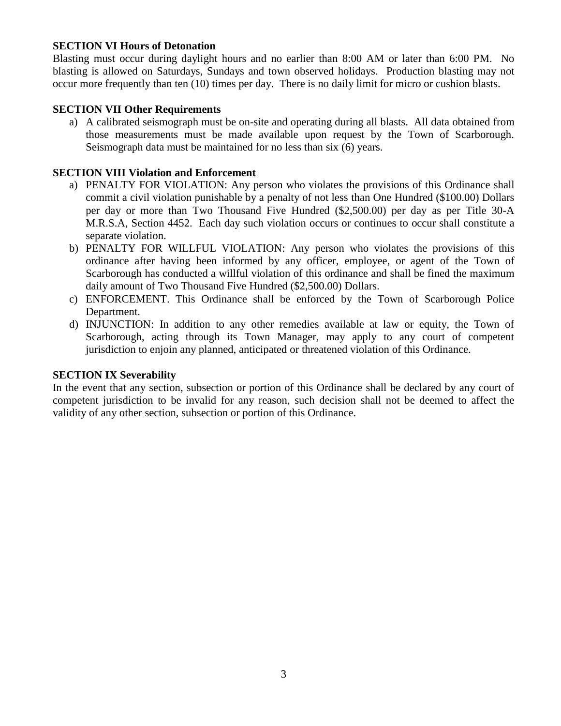### **SECTION VI Hours of Detonation**

Blasting must occur during daylight hours and no earlier than 8:00 AM or later than 6:00 PM. No blasting is allowed on Saturdays, Sundays and town observed holidays. Production blasting may not occur more frequently than ten (10) times per day. There is no daily limit for micro or cushion blasts.

### **SECTION VII Other Requirements**

a) A calibrated seismograph must be on-site and operating during all blasts. All data obtained from those measurements must be made available upon request by the Town of Scarborough. Seismograph data must be maintained for no less than six (6) years.

### **SECTION VIII Violation and Enforcement**

- a) PENALTY FOR VIOLATION: Any person who violates the provisions of this Ordinance shall commit a civil violation punishable by a penalty of not less than One Hundred (\$100.00) Dollars per day or more than Two Thousand Five Hundred (\$2,500.00) per day as per Title 30-A M.R.S.A, Section 4452. Each day such violation occurs or continues to occur shall constitute a separate violation.
- b) PENALTY FOR WILLFUL VIOLATION: Any person who violates the provisions of this ordinance after having been informed by any officer, employee, or agent of the Town of Scarborough has conducted a willful violation of this ordinance and shall be fined the maximum daily amount of Two Thousand Five Hundred (\$2,500.00) Dollars.
- c) ENFORCEMENT. This Ordinance shall be enforced by the Town of Scarborough Police Department.
- d) INJUNCTION: In addition to any other remedies available at law or equity, the Town of Scarborough, acting through its Town Manager, may apply to any court of competent jurisdiction to enjoin any planned, anticipated or threatened violation of this Ordinance.

#### **SECTION IX Severability**

In the event that any section, subsection or portion of this Ordinance shall be declared by any court of competent jurisdiction to be invalid for any reason, such decision shall not be deemed to affect the validity of any other section, subsection or portion of this Ordinance.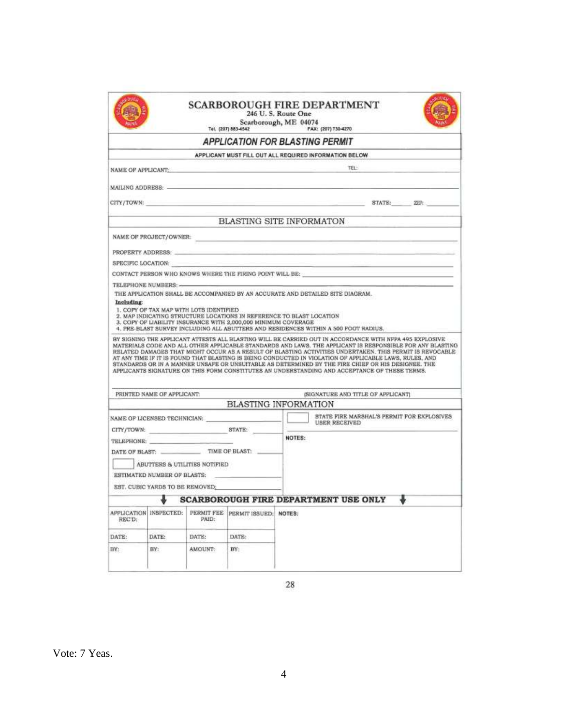|            |                                                              |                     |                                                                                                                                                                                                                                | 246 U.S. Route One<br>Scarborough, ME 04074<br>Tel. (207) 883-4542 6 7 FAX: (207) 730-4270                                                                                                                                                                                                                     |
|------------|--------------------------------------------------------------|---------------------|--------------------------------------------------------------------------------------------------------------------------------------------------------------------------------------------------------------------------------|----------------------------------------------------------------------------------------------------------------------------------------------------------------------------------------------------------------------------------------------------------------------------------------------------------------|
|            |                                                              |                     |                                                                                                                                                                                                                                | <b>APPLICATION FOR BLASTING PERMIT</b>                                                                                                                                                                                                                                                                         |
|            |                                                              |                     |                                                                                                                                                                                                                                | APPLICANT MUST FILL OUT ALL REQUIRED INFORMATION BELOW                                                                                                                                                                                                                                                         |
|            |                                                              |                     |                                                                                                                                                                                                                                | TEL:<br>NAME OF APPLICANTS AND A RESIDENCE OF A RESIDENCE OF A RESIDENCE OF A RESIDENCE OF A RESIDENCE OF A RESIDENCE OF A RESIDENCE OF A RESIDENCE OF A RESIDENCE OF A RESIDENCE OF A RESIDENCE OF A RESIDENCE OF A RESIDENCE OF A RE                                                                         |
|            |                                                              |                     |                                                                                                                                                                                                                                |                                                                                                                                                                                                                                                                                                                |
|            |                                                              |                     |                                                                                                                                                                                                                                | CITY/TOWN: ZIP: 2009. 2009. 2009. 2009. 2009. 2009. 2009. 2009. 2009. 2009. 2009. 2009. 2009. 2009. 2009. 2009. 2009. 2009. 2009. 2009. 2009. 2009. 2009. 2009. 2009. 2009. 2009. 2009. 2009. 2009. 2009. 2009. 2009. 2009. 20                                                                                 |
|            |                                                              |                     |                                                                                                                                                                                                                                | BLASTING SITE INFORMATON                                                                                                                                                                                                                                                                                       |
|            |                                                              |                     |                                                                                                                                                                                                                                | NAME OF PROJECT/OWNER: WE ARREST A STATE OF THE STATE OF THE STATE OF THE STATE OF THE STATE OF THE STATE OF THE STATE OF THE STATE OF THE STATE OF THE STATE OF THE STATE OF THE STATE OF THE STATE OF THE STATE OF THE STATE                                                                                 |
|            |                                                              |                     |                                                                                                                                                                                                                                | PROPERTY ADDRESS: And the contract of the contract of the contract of the contract of the contract of the contract of the contract of the contract of the contract of the contract of the contract of the contract of the cont                                                                                 |
|            |                                                              |                     | SPECIFIC LOCATION: The contract of the contract of the contract of the contract of the contract of the contract of the contract of the contract of the contract of the contract of the contract of the contract of the contrac | <u> Tanzania (m. 1888)</u>                                                                                                                                                                                                                                                                                     |
|            |                                                              |                     |                                                                                                                                                                                                                                | CONTACT PERSON WHO KNOWS WHERE THE FIRING POINT WILL BE:                                                                                                                                                                                                                                                       |
|            |                                                              |                     |                                                                                                                                                                                                                                |                                                                                                                                                                                                                                                                                                                |
|            |                                                              |                     |                                                                                                                                                                                                                                | THE APPLICATION SHALL BE ACCOMPANIED BY AN ACCURATE AND DETAILED SITE DIAGRAM.                                                                                                                                                                                                                                 |
| Including: |                                                              |                     |                                                                                                                                                                                                                                |                                                                                                                                                                                                                                                                                                                |
|            | 1. COPY OF TAX MAP WITH LOTS IDENTIFIED                      |                     |                                                                                                                                                                                                                                |                                                                                                                                                                                                                                                                                                                |
|            |                                                              |                     | 3. COPY OF LIABILITY INSURANCE WITH 2,000,000 MINIMUM COVERAGE                                                                                                                                                                 | 2. MAP INDICATING STRUCTURE LOCATIONS IN REFERENCE TO BLAST LOCATION<br>4. PRE-BLAST SURVEY INCLUDING ALL ABUTTERS AND RESIDENCES WITHIN A 500 FOOT RADIUS.<br>BY SIGNING THE APPLICANT ATTESTS ALL BLASTING WILL BE CARRIED OUT IN ACCORDANCE WITH NPPA 495 EXPLOSIVE                                         |
|            |                                                              |                     |                                                                                                                                                                                                                                | AT ANY TIME IF IT IS FOUND THAT BLASTING IS BEING CONDUCTED IN VIOLATION OF APPLICABLE LAWS, RULES, AND<br>STANDARDS OR IN A MANNER UNSAFE OR UNSUITABLE AS DETERMINED BY THE FIRE CHIEF OR HIS DESIGNEE. THE<br>APPLICANTS SIGNATURE ON THIS FORM CONSTITUTES AN UNDERSTANDING AND ACCEPTANCE OF THESE TERMS. |
|            | PRINTED NAME OF APPLICANT:                                   |                     |                                                                                                                                                                                                                                |                                                                                                                                                                                                                                                                                                                |
|            |                                                              |                     |                                                                                                                                                                                                                                | (SIGNATURE AND TITLE OF APPLICANT)                                                                                                                                                                                                                                                                             |
|            |                                                              |                     |                                                                                                                                                                                                                                | <b>BLASTING INFORMATION</b>                                                                                                                                                                                                                                                                                    |
|            |                                                              |                     |                                                                                                                                                                                                                                | STATE FIRE MARSHAL'S PERMIT FOR EXPLOSIVES                                                                                                                                                                                                                                                                     |
|            |                                                              |                     | CITY/TOWN: STATE:                                                                                                                                                                                                              | NOTES:                                                                                                                                                                                                                                                                                                         |
|            | TELEPHONE:                                                   |                     |                                                                                                                                                                                                                                |                                                                                                                                                                                                                                                                                                                |
|            |                                                              |                     | DATE OF BLAST: TIME OF BLAST:                                                                                                                                                                                                  |                                                                                                                                                                                                                                                                                                                |
|            | ABUTTERS & UTILITIES NOTIFIED<br>ESTIMATED NUMBER OF BLASTS: |                     |                                                                                                                                                                                                                                |                                                                                                                                                                                                                                                                                                                |
|            |                                                              |                     |                                                                                                                                                                                                                                |                                                                                                                                                                                                                                                                                                                |
|            | EST. CUBIC YARDS TO BE REMOVED:                              |                     |                                                                                                                                                                                                                                |                                                                                                                                                                                                                                                                                                                |
|            |                                                              |                     |                                                                                                                                                                                                                                | <b>SCARBOROUGH FIRE DEPARTMENT USE ONLY</b>                                                                                                                                                                                                                                                                    |
| REC'D:     | APPLICATION INSPECTED:                                       | PERMIT FEE<br>PAID: | PERMIT ISSUED: NOTES:                                                                                                                                                                                                          | MATERIALS CODE AND ALL OTHER APPLICABLE STANDARDS AND LAWS. THE APPLICANT IS RESPONSIBLE FOR ANY BLASTING<br>RELATED DAMAGES THAT MIGHT OCCUR AS A RESULT OF BLASTING ACTIVITIES UNDERTAKEN. THIS PERMIT IS REVOCABLE                                                                                          |
| DATE:      | DATE:                                                        | DATE:               | DATE:                                                                                                                                                                                                                          |                                                                                                                                                                                                                                                                                                                |

 $\sqrt{28}$ 

Vote: 7 Yeas.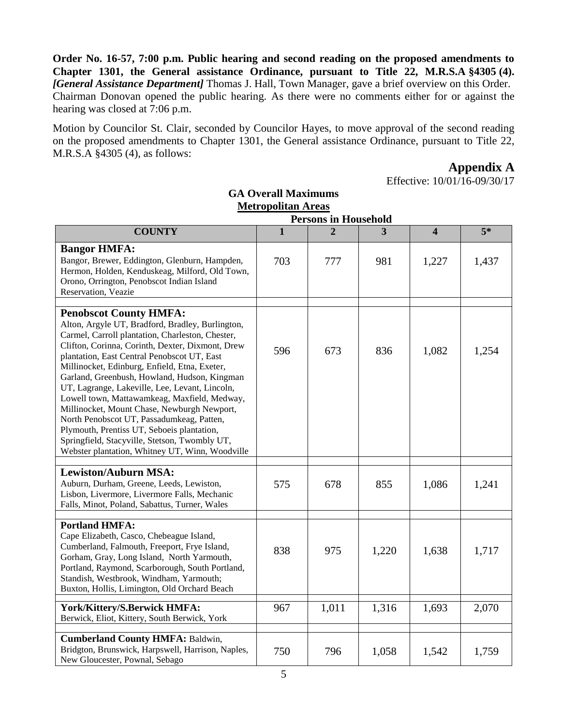**Order No. 16-57, 7:00 p.m. Public hearing and second reading on the proposed amendments to Chapter 1301, the General assistance Ordinance, pursuant to Title 22, M.R.S.A §4305 (4).** *[General Assistance Department]* Thomas J. Hall, Town Manager, gave a brief overview on this Order. Chairman Donovan opened the public hearing. As there were no comments either for or against the hearing was closed at 7:06 p.m.

Motion by Councilor St. Clair, seconded by Councilor Hayes, to move approval of the second reading on the proposed amendments to Chapter 1301, the General assistance Ordinance, pursuant to Title 22, M.R.S.A §4305 (4), as follows:

**Appendix A**

Effective: 10/01/16-09/30/17

| <b>GA Overall Maximums</b><br><b>Metropolitan Areas</b>                                                                                                                                                                                                                                                                                                                                                                                                                                                                                                                                                                                                                                   |                         |                             |                |                         |       |  |
|-------------------------------------------------------------------------------------------------------------------------------------------------------------------------------------------------------------------------------------------------------------------------------------------------------------------------------------------------------------------------------------------------------------------------------------------------------------------------------------------------------------------------------------------------------------------------------------------------------------------------------------------------------------------------------------------|-------------------------|-----------------------------|----------------|-------------------------|-------|--|
|                                                                                                                                                                                                                                                                                                                                                                                                                                                                                                                                                                                                                                                                                           |                         | <b>Persons in Household</b> |                |                         |       |  |
| <b>COUNTY</b>                                                                                                                                                                                                                                                                                                                                                                                                                                                                                                                                                                                                                                                                             | $\overline{\mathbf{1}}$ | $\overline{2}$              | $\overline{3}$ | $\overline{\mathbf{4}}$ | $5*$  |  |
| <b>Bangor HMFA:</b><br>Bangor, Brewer, Eddington, Glenburn, Hampden,<br>Hermon, Holden, Kenduskeag, Milford, Old Town,<br>Orono, Orrington, Penobscot Indian Island<br>Reservation, Veazie                                                                                                                                                                                                                                                                                                                                                                                                                                                                                                | 703                     | 777                         | 981            | 1,227                   | 1,437 |  |
| <b>Penobscot County HMFA:</b><br>Alton, Argyle UT, Bradford, Bradley, Burlington,<br>Carmel, Carroll plantation, Charleston, Chester,<br>Clifton, Corinna, Corinth, Dexter, Dixmont, Drew<br>plantation, East Central Penobscot UT, East<br>Millinocket, Edinburg, Enfield, Etna, Exeter,<br>Garland, Greenbush, Howland, Hudson, Kingman<br>UT, Lagrange, Lakeville, Lee, Levant, Lincoln,<br>Lowell town, Mattawamkeag, Maxfield, Medway,<br>Millinocket, Mount Chase, Newburgh Newport,<br>North Penobscot UT, Passadumkeag, Patten,<br>Plymouth, Prentiss UT, Seboeis plantation,<br>Springfield, Stacyville, Stetson, Twombly UT,<br>Webster plantation, Whitney UT, Winn, Woodville | 596                     | 673                         | 836            | 1,082                   | 1,254 |  |
| <b>Lewiston/Auburn MSA:</b><br>Auburn, Durham, Greene, Leeds, Lewiston,<br>Lisbon, Livermore, Livermore Falls, Mechanic<br>Falls, Minot, Poland, Sabattus, Turner, Wales                                                                                                                                                                                                                                                                                                                                                                                                                                                                                                                  | 575                     | 678                         | 855            | 1,086                   | 1,241 |  |
| <b>Portland HMFA:</b><br>Cape Elizabeth, Casco, Chebeague Island,<br>Cumberland, Falmouth, Freeport, Frye Island,<br>Gorham, Gray, Long Island, North Yarmouth,<br>Portland, Raymond, Scarborough, South Portland,<br>Standish, Westbrook, Windham, Yarmouth;<br>Buxton, Hollis, Limington, Old Orchard Beach                                                                                                                                                                                                                                                                                                                                                                             | 838                     | 975                         | 1,220          | 1,638                   | 1,717 |  |
| York/Kittery/S.Berwick HMFA:<br>Berwick, Eliot, Kittery, South Berwick, York                                                                                                                                                                                                                                                                                                                                                                                                                                                                                                                                                                                                              | 967                     | 1,011                       | 1,316          | 1,693                   | 2,070 |  |
| <b>Cumberland County HMFA: Baldwin,</b><br>Bridgton, Brunswick, Harpswell, Harrison, Naples,<br>New Gloucester, Pownal, Sebago                                                                                                                                                                                                                                                                                                                                                                                                                                                                                                                                                            | 750                     | 796                         | 1,058          | 1,542                   | 1,759 |  |

5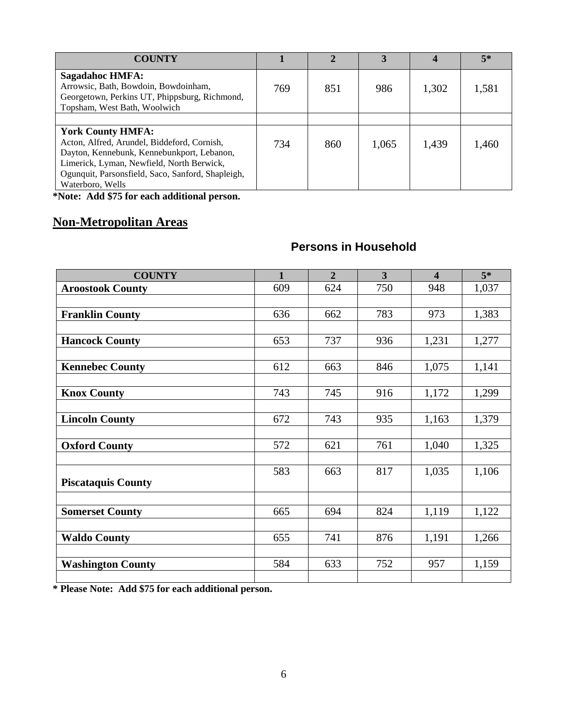| <b>COUNTY</b>                                                                                                                                                                                                                               |     | $\mathbf{2}$ | 3     |       | 5*    |
|---------------------------------------------------------------------------------------------------------------------------------------------------------------------------------------------------------------------------------------------|-----|--------------|-------|-------|-------|
| Sagadahoc HMFA:<br>Arrowsic, Bath, Bowdoin, Bowdoinham,<br>Georgetown, Perkins UT, Phippsburg, Richmond,<br>Topsham, West Bath, Woolwich                                                                                                    | 769 | 851          | 986   | 1,302 | 1,581 |
|                                                                                                                                                                                                                                             |     |              |       |       |       |
| <b>York County HMFA:</b><br>Acton, Alfred, Arundel, Biddeford, Cornish,<br>Dayton, Kennebunk, Kennebunkport, Lebanon,<br>Limerick, Lyman, Newfield, North Berwick,<br>Ogunquit, Parsonsfield, Saco, Sanford, Shapleigh,<br>Waterboro, Wells | 734 | 860          | 1,065 | 1,439 | 1,460 |

**\*Note: Add \$75 for each additional person.**

# **Non-Metropolitan Areas**

## **Persons in Household**

| <b>COUNTY</b>             | 1   | $\overline{2}$ | $\overline{\mathbf{3}}$ | $\overline{\mathbf{4}}$ | $5*$  |
|---------------------------|-----|----------------|-------------------------|-------------------------|-------|
| <b>Aroostook County</b>   | 609 | 624            | 750                     | 948                     | 1,037 |
|                           |     |                |                         |                         |       |
| <b>Franklin County</b>    | 636 | 662            | 783                     | 973                     | 1,383 |
|                           |     |                |                         |                         |       |
| <b>Hancock County</b>     | 653 | 737            | 936                     | 1,231                   | 1,277 |
|                           |     |                |                         |                         |       |
| <b>Kennebec County</b>    | 612 | 663            | 846                     | 1,075                   | 1,141 |
|                           |     |                |                         |                         |       |
| <b>Knox County</b>        | 743 | 745            | 916                     | 1,172                   | 1,299 |
|                           |     |                |                         |                         |       |
| <b>Lincoln County</b>     | 672 | 743            | 935                     | 1,163                   | 1,379 |
| <b>Oxford County</b>      | 572 | 621            | 761                     | 1,040                   | 1,325 |
|                           |     |                |                         |                         |       |
|                           | 583 | 663            | 817                     | 1,035                   | 1,106 |
| <b>Piscataquis County</b> |     |                |                         |                         |       |
|                           |     |                |                         |                         |       |
| <b>Somerset County</b>    | 665 | 694            | 824                     | 1,119                   | 1,122 |
|                           |     |                |                         |                         |       |
| <b>Waldo County</b>       | 655 | 741            | 876                     | 1,191                   | 1,266 |
|                           |     |                |                         |                         |       |
| <b>Washington County</b>  | 584 | 633            | 752                     | 957                     | 1,159 |
|                           |     |                |                         |                         |       |

**\* Please Note: Add \$75 for each additional person.**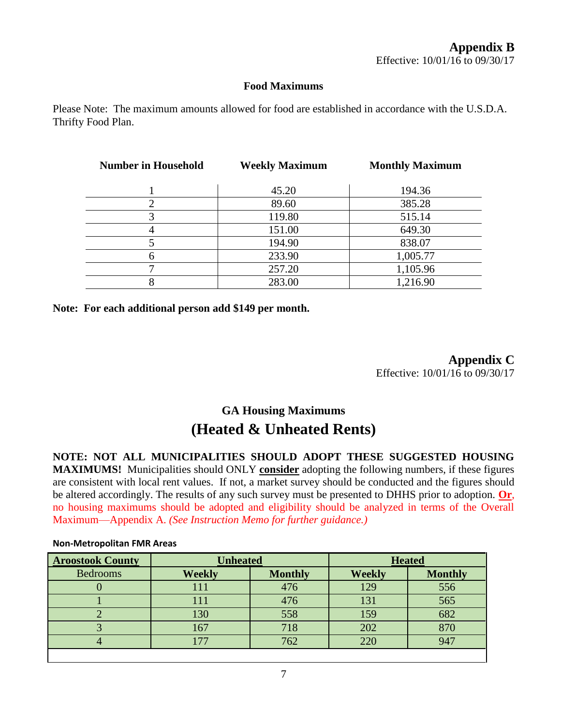### **Food Maximums**

Please Note: The maximum amounts allowed for food are established in accordance with the U.S.D.A. Thrifty Food Plan.

| <b>Number in Household</b> | <b>Weekly Maximum</b> | <b>Monthly Maximum</b> |
|----------------------------|-----------------------|------------------------|
|                            | 45.20                 | 194.36                 |
|                            | 89.60                 | 385.28                 |
| 3                          | 119.80                | 515.14                 |
|                            | 151.00                | 649.30                 |
|                            | 194.90                | 838.07                 |
|                            | 233.90                | 1,005.77               |
|                            | 257.20                | 1,105.96               |
|                            | 283.00                | 1,216.90               |

**Note: For each additional person add \$149 per month.**

**Appendix C** Effective: 10/01/16 to 09/30/17

# **GA Housing Maximums (Heated & Unheated Rents)**

**NOTE: NOT ALL MUNICIPALITIES SHOULD ADOPT THESE SUGGESTED HOUSING MAXIMUMS!** Municipalities should ONLY **consider** adopting the following numbers, if these figures are consistent with local rent values. If not, a market survey should be conducted and the figures should be altered accordingly. The results of any such survey must be presented to DHHS prior to adoption. **Or**, no housing maximums should be adopted and eligibility should be analyzed in terms of the Overall Maximum—Appendix A. *(See Instruction Memo for further guidance.)*

#### **Non-Metropolitan FMR Areas**

| <b>Aroostook County</b> | <b>Unheated</b> |                | <b>Heated</b> |                |
|-------------------------|-----------------|----------------|---------------|----------------|
| <b>Bedrooms</b>         | <b>Weekly</b>   | <b>Monthly</b> | <b>Weekly</b> | <b>Monthly</b> |
|                         | 111             | 476            | 129           | 556            |
|                         | ! 11            | 476            | 131           | 565            |
|                         | 130             | 558            | 159           | 682            |
|                         | 167             |                | 202           | 870            |
|                         |                 | 762            | 220           | 947            |
|                         |                 |                |               |                |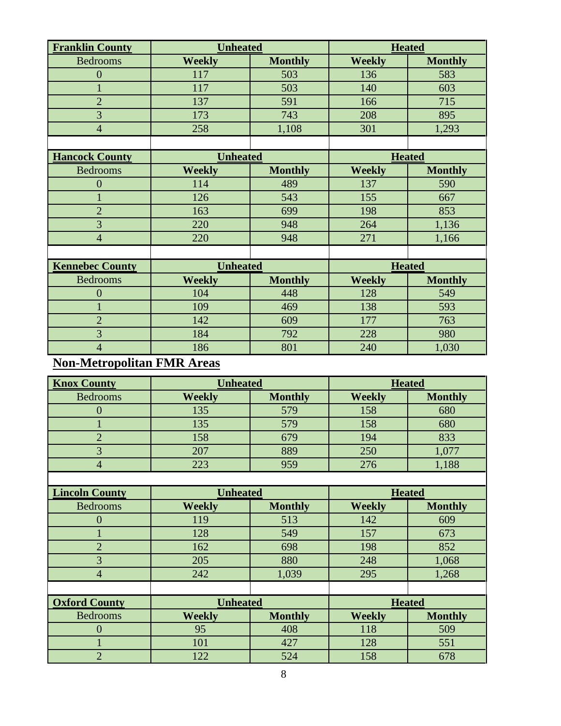| <b>Franklin County</b> | <b>Unheated</b> |                | <b>Heated</b> |                |
|------------------------|-----------------|----------------|---------------|----------------|
| <b>Bedrooms</b>        | <b>Weekly</b>   | <b>Monthly</b> | <b>Weekly</b> | <b>Monthly</b> |
| $\overline{0}$         | 117             | 503            | 136           | 583            |
|                        | 117             | 503            | 140           | 603            |
| $\overline{2}$         | 137             | 591            | 166           | 715            |
| 3                      | 173             | 743            | 208           | 895            |
| $\overline{4}$         | 258             | 1,108          | 301           | 1,293          |
|                        |                 |                |               |                |
| <b>Hancock County</b>  | <b>Unheated</b> |                | <b>Heated</b> |                |
| <b>Bedrooms</b>        | <b>Weekly</b>   | <b>Monthly</b> | <b>Weekly</b> | <b>Monthly</b> |
| $\overline{0}$         | 114             | 489            | 137           | 590            |
|                        | 126             | 543            | 155           | 667            |
| $\overline{2}$         | 163             | 699            | 198           | 853            |
| 3                      | 220             | 948            | 264           | 1,136          |
| $\overline{4}$         | 220             | 948            | 271           | 1,166          |
|                        |                 |                |               |                |
| <b>Kennebec County</b> | <b>Unheated</b> |                | <b>Heated</b> |                |
| <b>Bedrooms</b>        | <b>Weekly</b>   | <b>Monthly</b> | <b>Weekly</b> | <b>Monthly</b> |
| $\overline{0}$         | 104             | 448            | 128           | 549            |
| $\mathbf{1}$           | 109             | 469            | 138           | 593            |
| $\overline{2}$         | 142             | 609            | 177           | 763            |
| 3                      | 184             | 792            | 228           | 980            |
| $\overline{4}$         | 186             | 801            | 240           | 1,030          |

# **Non-Metropolitan FMR Areas**

| <b>Knox County</b>    | <b>Unheated</b> |                |               | <b>Heated</b>  |
|-----------------------|-----------------|----------------|---------------|----------------|
| <b>Bedrooms</b>       | <b>Weekly</b>   | <b>Monthly</b> | <b>Weekly</b> | <b>Monthly</b> |
| $\overline{0}$        | 135             | 579            | 158           | 680            |
|                       | 135             | 579            | 158           | 680            |
| $\overline{2}$        | 158             | 679            | 194           | 833            |
| 3                     | 207             | 889            | 250           | 1,077          |
| $\overline{4}$        | 223             | 959            | 276           | 1,188          |
|                       |                 |                |               |                |
| <b>Lincoln County</b> | <b>Unheated</b> |                |               | <b>Heated</b>  |
| <b>Bedrooms</b>       | <b>Weekly</b>   | <b>Monthly</b> | <b>Weekly</b> | <b>Monthly</b> |
| $\overline{0}$        | 119             | 513            | 142           | 609            |
|                       | 128             | 549            | 157           | 673            |
| $\overline{2}$        | 162             | 698            | 198           | 852            |
| 3                     | 205             | 880            | 248           | 1,068          |
| $\overline{4}$        | 242             | 1,039          | 295           | 1,268          |
|                       |                 |                |               |                |
| <b>Oxford County</b>  | <b>Unheated</b> |                |               | <b>Heated</b>  |
| <b>Bedrooms</b>       | <b>Weekly</b>   | <b>Monthly</b> | <b>Weekly</b> | <b>Monthly</b> |
| $\overline{0}$        | 95              | 408            | 118           | 509            |
|                       | 101             | 427            | 128           | 551            |
| $\overline{2}$        | 122             | 524            | 158           | 678            |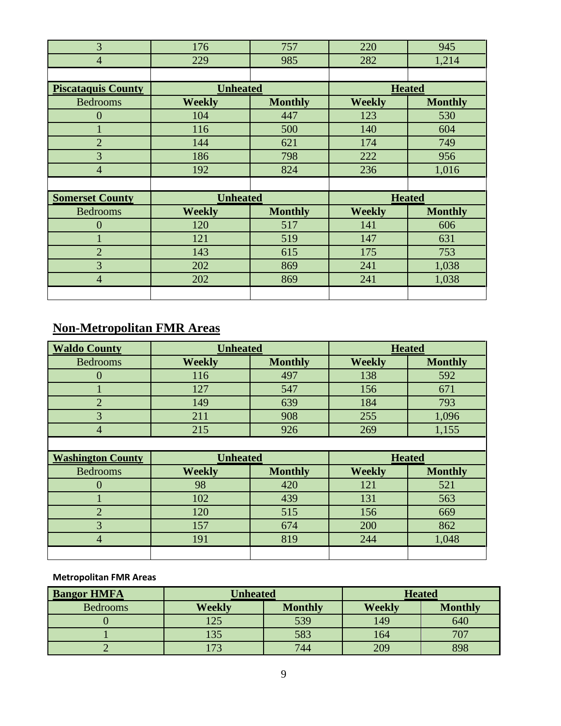| 3                         | 176             | 757            | 220           | 945            |  |
|---------------------------|-----------------|----------------|---------------|----------------|--|
| $\overline{4}$            | 229             | 985            | 282           | 1,214          |  |
|                           |                 |                |               |                |  |
| <b>Piscataquis County</b> | <b>Unheated</b> |                | <b>Heated</b> |                |  |
| <b>Bedrooms</b>           | <b>Weekly</b>   | <b>Monthly</b> | <b>Weekly</b> | <b>Monthly</b> |  |
| $\overline{0}$            | 104             | 447            | 123           | 530            |  |
| $\mathbf{1}$              | 116             | 500            | 140           | 604            |  |
| $\overline{2}$            | 144             | 621            | 174           | 749            |  |
| 3                         | 186             | 798            | 222           | 956            |  |
| $\overline{4}$            | 192             | 824            | 236           | 1,016          |  |
|                           |                 |                |               |                |  |
| <b>Somerset County</b>    | <b>Unheated</b> |                |               | <b>Heated</b>  |  |
| <b>Bedrooms</b>           | <b>Weekly</b>   | <b>Monthly</b> | <b>Weekly</b> | <b>Monthly</b> |  |
| $\overline{0}$            | 120             | 517            | 141           | 606            |  |
| 1                         | 121             | 519            | 147           | 631            |  |
| $\overline{2}$            | 143             | 615            | 175           | 753            |  |
| 3                         | 202             | 869            | 241           | 1,038          |  |
| $\overline{4}$            | 202             | 869            | 241           | 1,038          |  |
|                           |                 |                |               |                |  |

# **Non-Metropolitan FMR Areas**

| <b>Waldo County</b>      | <b>Unheated</b> |                | <b>Heated</b> |                |
|--------------------------|-----------------|----------------|---------------|----------------|
| <b>Bedrooms</b>          | <b>Weekly</b>   | <b>Monthly</b> | <b>Weekly</b> | <b>Monthly</b> |
| $\overline{0}$           | 116             | 497            | 138           | 592            |
| 1                        | 127             | 547            | 156           | 671            |
| $\overline{2}$           | 149             | 639            | 184           | 793            |
| 3                        | 211             | 908            | 255           | 1,096          |
| $\overline{4}$           | 215             | 926            | 269           | 1,155          |
|                          |                 |                |               |                |
|                          | <b>Unheated</b> |                | <b>Heated</b> |                |
| <b>Washington County</b> |                 |                |               |                |
| <b>Bedrooms</b>          | <b>Weekly</b>   | <b>Monthly</b> | <b>Weekly</b> | <b>Monthly</b> |
| $\theta$                 | 98              | 420            | 121           | 521            |
| 1                        | 102             | 439            | 131           | 563            |
| $\overline{2}$           | 120             | 515            | 156           | 669            |
| 3                        | 157             | 674            | 200           | 862            |
| $\overline{4}$           | 191             | 819            | 244           | 1,048          |

## **Metropolitan FMR Areas**

| <b>Bangor HMFA</b> | <b>Unheated</b> |                | <b>Heated</b> |                |  |
|--------------------|-----------------|----------------|---------------|----------------|--|
| <b>Bedrooms</b>    | Weekly          | <b>Monthly</b> | <b>Weekly</b> | <b>Monthly</b> |  |
|                    | 125             | 539            | 149           | 640            |  |
|                    | 135             | 583            | 164           | 707            |  |
|                    | .73             | 744            | 209           | 898            |  |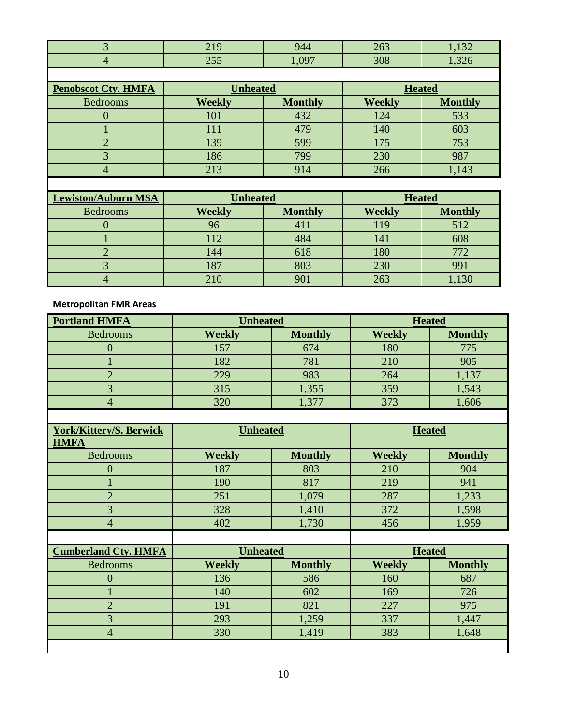|  |                   | $\overline{\phantom{a}}$ |  |
|--|-------------------|--------------------------|--|
|  | . <i>. .</i><br>້ | າດດ<br>UG.               |  |
|  |                   |                          |  |

| <b>Penobscot Cty. HMFA</b> | <b>Unheated</b> |                | <b>Heated</b> |                |
|----------------------------|-----------------|----------------|---------------|----------------|
| <b>Bedrooms</b>            | <b>Weekly</b>   | <b>Monthly</b> | <b>Weekly</b> | <b>Monthly</b> |
| $\theta$                   | 101             | 432            | 124           | 533            |
|                            | 111             | 479            | 140           | 603            |
| $\overline{2}$             | 139             | 599            | 175           | 753            |
| 3                          | 186             | 799            | 230           | 987            |
| $\overline{4}$             | 213             | 914            | 266           | 1,143          |
|                            |                 |                |               |                |
| <b>Lewiston/Auburn MSA</b> | <b>Unheated</b> |                | <b>Heated</b> |                |
| <b>Bedrooms</b>            | <b>Weekly</b>   | <b>Monthly</b> | <b>Weekly</b> | <b>Monthly</b> |
| $\overline{0}$             | 96              | 411            | 119           | 512            |
|                            | 112             | 484            | 141           | 608            |
| $\overline{2}$             | 144             | 618            | 180           | 772            |
| 3                          | 187             | 803            | 230           | 991            |
|                            |                 |                |               |                |

**Metropolitan FMR Areas**

| <b>Portland HMFA</b> | <b>Unheated</b> |                |               | <b>Heated</b>  |
|----------------------|-----------------|----------------|---------------|----------------|
| <b>Bedrooms</b>      | <b>Weekly</b>   | <b>Monthly</b> | <b>Weekly</b> | <b>Monthly</b> |
|                      | 157             | 674            | 180           | 775            |
|                      | 182             | 781            | 210           | 905            |
|                      | 229             | 983            | 264           | 1,137          |
|                      | 315             | 1,355          | 359           | 1,543          |
|                      | 320             | 1,377          | 373           | 1,606          |
|                      |                 |                |               |                |

| <b>York/Kittery/S. Berwick</b><br><b>HMFA</b> | <b>Unheated</b> |                | <b>Heated</b> |                |
|-----------------------------------------------|-----------------|----------------|---------------|----------------|
| <b>Bedrooms</b>                               | <b>Weekly</b>   | <b>Monthly</b> | <b>Weekly</b> | <b>Monthly</b> |
| $\overline{0}$                                | 187             | 803            | 210           | 904            |
|                                               | 190             | 817            | 219           | 941            |
| $\overline{2}$                                | 251             | 1,079          | 287           | 1,233          |
| 3                                             | 328             | 1,410          | 372           | 1,598          |
| $\overline{4}$                                | 402             | 1,730          | 456           | 1,959          |
|                                               |                 |                |               |                |
| <b>Cumberland Cty. HMFA</b>                   | <b>Unheated</b> |                | <b>Heated</b> |                |
| <b>Bedrooms</b>                               | <b>Weekly</b>   | <b>Monthly</b> | <b>Weekly</b> | <b>Monthly</b> |
| $\Omega$                                      | 136             | 586            | 160           | 687            |
| 1                                             | 140             | 602            | 169           | 726            |
| $\overline{2}$                                | 191             | 821            | 227           | 975            |
| 3                                             | 293             | 1,259          | 337           | 1,447          |
| $\overline{4}$                                | 330             | 1,419          | 383           | 1,648          |
|                                               |                 |                |               |                |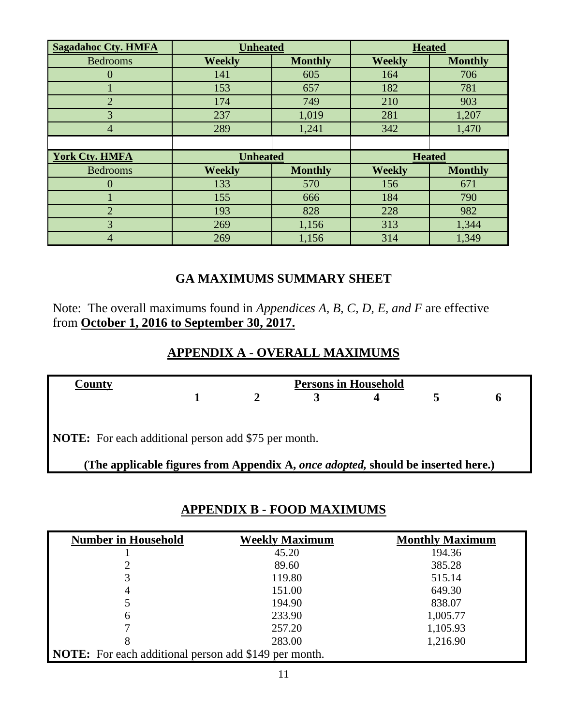| <b>Sagadahoc Cty. HMFA</b> | <b>Unheated</b> |                | <b>Heated</b> |                |
|----------------------------|-----------------|----------------|---------------|----------------|
| <b>Bedrooms</b>            | <b>Weekly</b>   | <b>Monthly</b> | <b>Weekly</b> | <b>Monthly</b> |
|                            | 141             | 605            | 164           | 706            |
|                            | 153             | 657            | 182           | 781            |
| $\overline{2}$             | 174             | 749            | 210           | 903            |
| 3                          | 237             | 1,019          | 281           | 1,207          |
| $\overline{4}$             | 289             | 1,241          | 342           | 1,470          |
|                            |                 |                |               |                |
| <b>York Cty. HMFA</b>      | <b>Unheated</b> |                | <b>Heated</b> |                |
| <b>Bedrooms</b>            | <b>Weekly</b>   | <b>Monthly</b> | <b>Weekly</b> | <b>Monthly</b> |
| 0                          | 133             | 570            | 156           | 671            |
|                            | 155             | 666            | 184           | 790            |
| $\overline{2}$             | 193             | 828            | 228           | 982            |
| $\overline{3}$             | 269             | 1,156          | 313           | 1,344          |
| 4                          |                 |                | 314           | 1,349          |

# **GA MAXIMUMS SUMMARY SHEET**

Note: The overall maximums found in *Appendices A, B, C, D, E, and F* are effective from **October 1, 2016 to September 30, 2017.**

# **APPENDIX A - OVERALL MAXIMUMS**

| County                                                      | <b>Persons in Household</b>                                                      |  |  |  |  |              |
|-------------------------------------------------------------|----------------------------------------------------------------------------------|--|--|--|--|--------------|
|                                                             |                                                                                  |  |  |  |  | <sub>n</sub> |
| <b>NOTE:</b> For each additional person add \$75 per month. |                                                                                  |  |  |  |  |              |
|                                                             | (The applicable figures from Appendix A, once adopted, should be inserted here.) |  |  |  |  |              |

## **APPENDIX B - FOOD MAXIMUMS**

| <b>Number in Household</b>                                   | <b>Weekly Maximum</b> | <b>Monthly Maximum</b> |
|--------------------------------------------------------------|-----------------------|------------------------|
|                                                              | 45.20                 | 194.36                 |
|                                                              | 89.60                 | 385.28                 |
| 3                                                            | 119.80                | 515.14                 |
| 4                                                            | 151.00                | 649.30                 |
|                                                              | 194.90                | 838.07                 |
| 6                                                            | 233.90                | 1,005.77               |
|                                                              | 257.20                | 1,105.93               |
| 8                                                            | 283.00                | 1,216.90               |
| <b>NOTE:</b> For each additional person add \$149 per month. |                       |                        |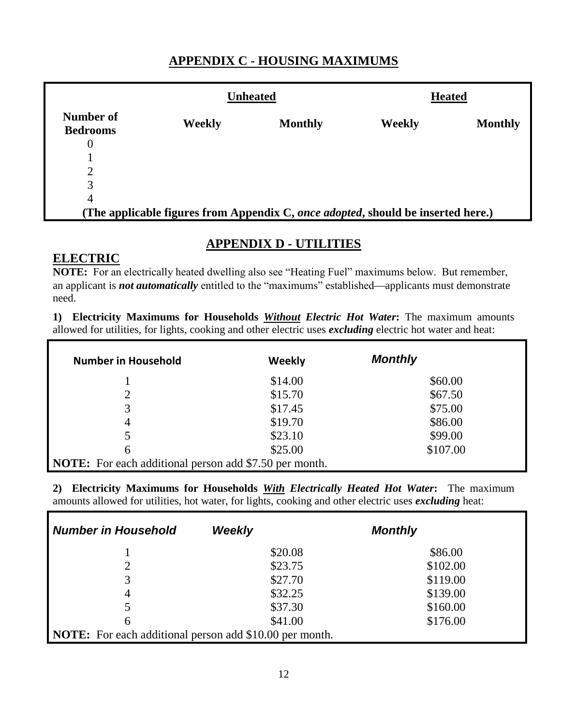## **APPENDIX C - HOUSING MAXIMUMS**

|                                                                                  |        | <b>Unheated</b> |        | <b>Heated</b>  |
|----------------------------------------------------------------------------------|--------|-----------------|--------|----------------|
| Number of<br><b>Bedrooms</b>                                                     | Weekly | <b>Monthly</b>  | Weekly | <b>Monthly</b> |
| $\theta$                                                                         |        |                 |        |                |
|                                                                                  |        |                 |        |                |
| 2                                                                                |        |                 |        |                |
| 3                                                                                |        |                 |        |                |
| $\overline{4}$                                                                   |        |                 |        |                |
| (The applicable figures from Appendix C, once adopted, should be inserted here.) |        |                 |        |                |

# **APPENDIX D - UTILITIES**

## **ELECTRIC**

**NOTE:** For an electrically heated dwelling also see "Heating Fuel" maximums below. But remember, an applicant is *not automatically* entitled to the "maximums" established—applicants must demonstrate need.

**1) Electricity Maximums for Households** *Without Electric Hot Water***:** The maximum amounts allowed for utilities, for lights, cooking and other electric uses *excluding* electric hot water and heat:

| <b>Number in Household</b>                                    | Weekly  | <b>Monthly</b> |
|---------------------------------------------------------------|---------|----------------|
|                                                               | \$14.00 | \$60.00        |
| ↑                                                             | \$15.70 | \$67.50        |
| 3                                                             | \$17.45 | \$75.00        |
| 4                                                             | \$19.70 | \$86.00        |
|                                                               | \$23.10 | \$99.00        |
| 6                                                             | \$25.00 | \$107.00       |
| <b>NOTE:</b> For each additional person add \$7.50 per month. |         |                |

**2) Electricity Maximums for Households** *With Electrically Heated Hot Water***:** The maximum amounts allowed for utilities, hot water, for lights, cooking and other electric uses *excluding* heat:

| <b>Number in Household</b>                                     | <b>Weekly</b> | <b>Monthly</b> |
|----------------------------------------------------------------|---------------|----------------|
|                                                                | \$20.08       | \$86.00        |
| 2                                                              | \$23.75       | \$102.00       |
| 3                                                              | \$27.70       | \$119.00       |
| 4                                                              | \$32.25       | \$139.00       |
| 5                                                              | \$37.30       | \$160.00       |
| 6                                                              | \$41.00       | \$176.00       |
| <b>NOTE:</b> For each additional person add \$10.00 per month. |               |                |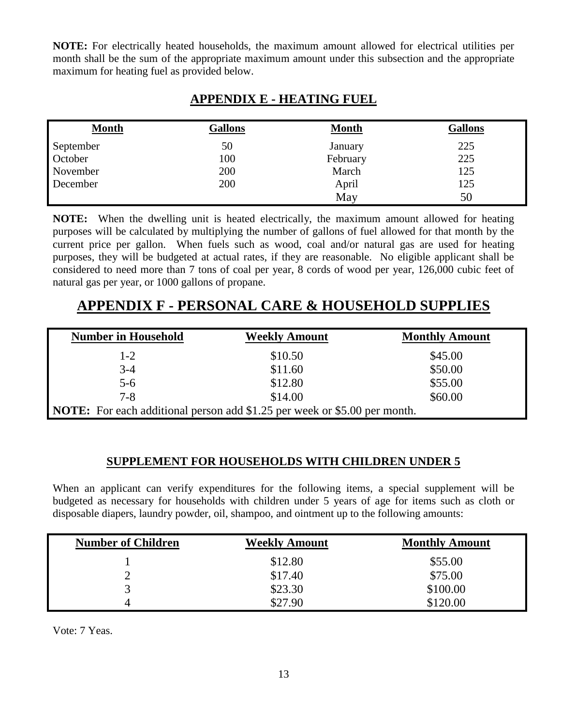**NOTE:** For electrically heated households, the maximum amount allowed for electrical utilities per month shall be the sum of the appropriate maximum amount under this subsection and the appropriate maximum for heating fuel as provided below.

## **APPENDIX E - HEATING FUEL**

| <b>Month</b> | <b>Gallons</b> | <b>Month</b> | <b>Gallons</b> |
|--------------|----------------|--------------|----------------|
| September    | 50             | January      | 225            |
| October      | 100            | February     | 225            |
| November     | 200            | March        | 125            |
| December     | 200            | April        | 125            |
|              |                | May          | 50             |

**NOTE:** When the dwelling unit is heated electrically, the maximum amount allowed for heating purposes will be calculated by multiplying the number of gallons of fuel allowed for that month by the current price per gallon. When fuels such as wood, coal and/or natural gas are used for heating purposes, they will be budgeted at actual rates, if they are reasonable. No eligible applicant shall be considered to need more than 7 tons of coal per year, 8 cords of wood per year, 126,000 cubic feet of natural gas per year, or 1000 gallons of propane.

# **APPENDIX F - PERSONAL CARE & HOUSEHOLD SUPPLIES**

| <b>Number in Household</b>                                                       | <b>Weekly Amount</b> | <b>Monthly Amount</b> |
|----------------------------------------------------------------------------------|----------------------|-----------------------|
| $1-2$                                                                            | \$10.50              | \$45.00               |
| $3-4$                                                                            | \$11.60              | \$50.00               |
| $5 - 6$                                                                          | \$12.80              | \$55.00               |
| $7 - 8$                                                                          | \$14.00              | \$60.00               |
| <b>NOTE:</b> For each additional person add \$1.25 per week or \$5.00 per month. |                      |                       |

## **SUPPLEMENT FOR HOUSEHOLDS WITH CHILDREN UNDER 5**

When an applicant can verify expenditures for the following items, a special supplement will be budgeted as necessary for households with children under 5 years of age for items such as cloth or disposable diapers, laundry powder, oil, shampoo, and ointment up to the following amounts:

| <b>Number of Children</b> | <b>Weekly Amount</b> | <b>Monthly Amount</b> |
|---------------------------|----------------------|-----------------------|
|                           | \$12.80              | \$55.00               |
| ∸                         | \$17.40              | \$75.00               |
|                           | \$23.30              | \$100.00              |
| 4                         | \$27.90              | \$120.00              |

Vote: 7 Yeas.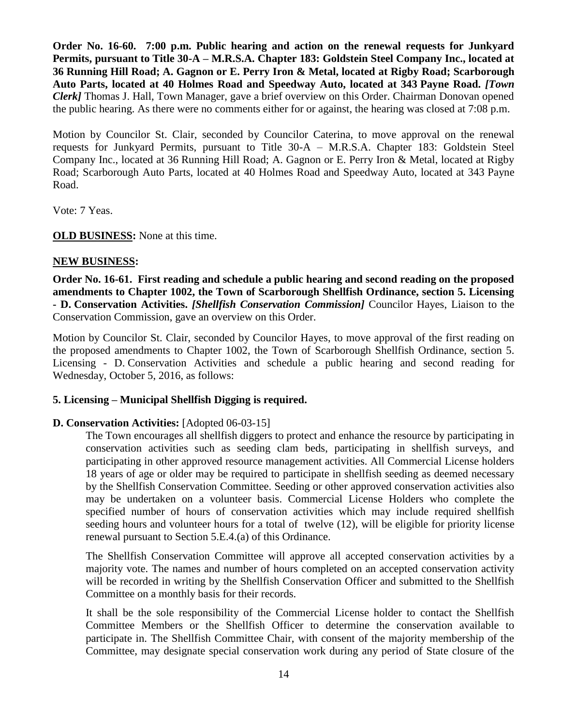**Order No. 16-60. 7:00 p.m. Public hearing and action on the renewal requests for Junkyard Permits, pursuant to Title 30-A – M.R.S.A. Chapter 183: Goldstein Steel Company Inc., located at 36 Running Hill Road; A. Gagnon or E. Perry Iron & Metal, located at Rigby Road; Scarborough Auto Parts, located at 40 Holmes Road and Speedway Auto, located at 343 Payne Road.** *[Town Clerk]* Thomas J. Hall, Town Manager, gave a brief overview on this Order. Chairman Donovan opened the public hearing. As there were no comments either for or against, the hearing was closed at 7:08 p.m.

Motion by Councilor St. Clair, seconded by Councilor Caterina, to move approval on the renewal requests for Junkyard Permits, pursuant to Title 30-A – M.R.S.A. Chapter 183: Goldstein Steel Company Inc., located at 36 Running Hill Road; A. Gagnon or E. Perry Iron & Metal, located at Rigby Road; Scarborough Auto Parts, located at 40 Holmes Road and Speedway Auto, located at 343 Payne Road.

Vote: 7 Yeas.

**OLD BUSINESS:** None at this time.

### **NEW BUSINESS:**

**Order No. 16-61. First reading and schedule a public hearing and second reading on the proposed amendments to Chapter 1002, the Town of Scarborough Shellfish Ordinance, section 5. Licensing - D. Conservation Activities.** *[Shellfish Conservation Commission]* Councilor Hayes, Liaison to the Conservation Commission, gave an overview on this Order.

Motion by Councilor St. Clair, seconded by Councilor Hayes, to move approval of the first reading on the proposed amendments to Chapter 1002, the Town of Scarborough Shellfish Ordinance, section 5. Licensing - D. Conservation Activities and schedule a public hearing and second reading for Wednesday, October 5, 2016, as follows:

#### **5. Licensing – Municipal Shellfish Digging is required.**

#### **D. Conservation Activities:** [Adopted 06-03-15]

The Town encourages all shellfish diggers to protect and enhance the resource by participating in conservation activities such as seeding clam beds, participating in shellfish surveys, and participating in other approved resource management activities. All Commercial License holders 18 years of age or older may be required to participate in shellfish seeding as deemed necessary by the Shellfish Conservation Committee. Seeding or other approved conservation activities also may be undertaken on a volunteer basis. Commercial License Holders who complete the specified number of hours of conservation activities which may include required shellfish seeding hours and volunteer hours for a total of twelve (12), will be eligible for priority license renewal pursuant to Section 5.E.4.(a) of this Ordinance.

The Shellfish Conservation Committee will approve all accepted conservation activities by a majority vote. The names and number of hours completed on an accepted conservation activity will be recorded in writing by the Shellfish Conservation Officer and submitted to the Shellfish Committee on a monthly basis for their records.

It shall be the sole responsibility of the Commercial License holder to contact the Shellfish Committee Members or the Shellfish Officer to determine the conservation available to participate in. The Shellfish Committee Chair, with consent of the majority membership of the Committee, may designate special conservation work during any period of State closure of the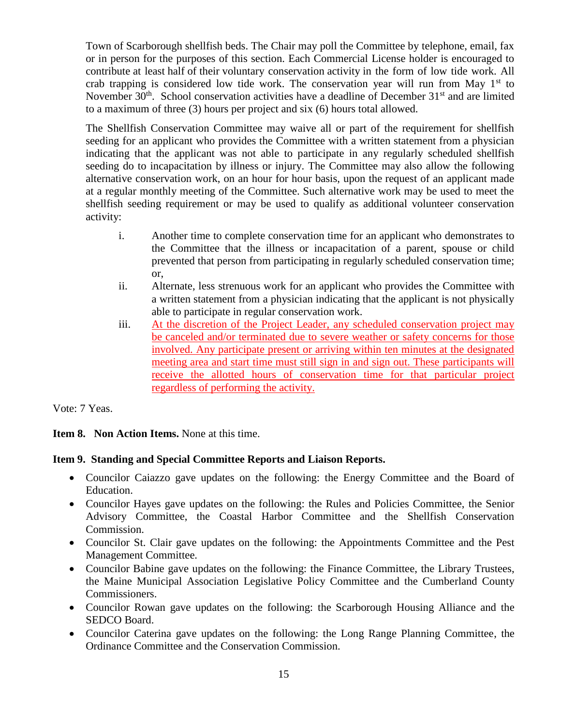Town of Scarborough shellfish beds. The Chair may poll the Committee by telephone, email, fax or in person for the purposes of this section. Each Commercial License holder is encouraged to contribute at least half of their voluntary conservation activity in the form of low tide work. All crab trapping is considered low tide work. The conservation year will run from May  $1<sup>st</sup>$  to November  $30<sup>th</sup>$ . School conservation activities have a deadline of December  $31<sup>st</sup>$  and are limited to a maximum of three (3) hours per project and six (6) hours total allowed.

The Shellfish Conservation Committee may waive all or part of the requirement for shellfish seeding for an applicant who provides the Committee with a written statement from a physician indicating that the applicant was not able to participate in any regularly scheduled shellfish seeding do to incapacitation by illness or injury. The Committee may also allow the following alternative conservation work, on an hour for hour basis, upon the request of an applicant made at a regular monthly meeting of the Committee. Such alternative work may be used to meet the shellfish seeding requirement or may be used to qualify as additional volunteer conservation activity:

- i. Another time to complete conservation time for an applicant who demonstrates to the Committee that the illness or incapacitation of a parent, spouse or child prevented that person from participating in regularly scheduled conservation time; or,
- ii. Alternate, less strenuous work for an applicant who provides the Committee with a written statement from a physician indicating that the applicant is not physically able to participate in regular conservation work.
- iii. At the discretion of the Project Leader, any scheduled conservation project may be canceled and/or terminated due to severe weather or safety concerns for those involved. Any participate present or arriving within ten minutes at the designated meeting area and start time must still sign in and sign out. These participants will receive the allotted hours of conservation time for that particular project regardless of performing the activity.

Vote: 7 Yeas.

**Item 8. Non Action Items.** None at this time.

## **Item 9. Standing and Special Committee Reports and Liaison Reports.**

- Councilor Caiazzo gave updates on the following: the Energy Committee and the Board of Education.
- Councilor Hayes gave updates on the following: the Rules and Policies Committee, the Senior Advisory Committee, the Coastal Harbor Committee and the Shellfish Conservation Commission.
- Councilor St. Clair gave updates on the following: the Appointments Committee and the Pest Management Committee.
- Councilor Babine gave updates on the following: the Finance Committee, the Library Trustees, the Maine Municipal Association Legislative Policy Committee and the Cumberland County Commissioners.
- Councilor Rowan gave updates on the following: the Scarborough Housing Alliance and the SEDCO Board.
- Councilor Caterina gave updates on the following: the Long Range Planning Committee, the Ordinance Committee and the Conservation Commission.